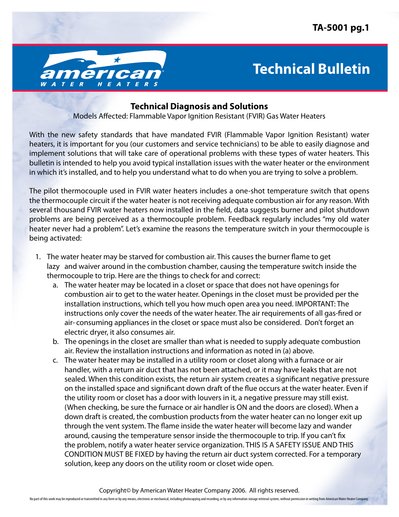

## **Technical Bulletin**

## **Technical Diagnosis and Solutions**

Models Affected: Flammable Vapor Ignition Resistant (FVIR) Gas Water Heaters

With the new safety standards that have mandated FVIR (Flammable Vapor Ignition Resistant) water heaters, it is important for you (our customers and service technicians) to be able to easily diagnose and implement solutions that will take care of operational problems with these types of water heaters. This bulletin is intended to help you avoid typical installation issues with the water heater or the environment in which it's installed, and to help you understand what to do when you are trying to solve a problem.

The pilot thermocouple used in FVIR water heaters includes a one-shot temperature switch that opens the thermocouple circuit if the water heater is not receiving adequate combustion air for any reason. With several thousand FVIR water heaters now installed in the field, data suggests burner and pilot shutdown problems are being perceived as a thermocouple problem. Feedback regularly includes "my old water heater never had a problem". Let's examine the reasons the temperature switch in your thermocouple is being activated:

- 1. The water heater may be starved for combustion air. This causes the burner flame to get lazy and waiver around in the combustion chamber, causing the temperature switch inside the thermocouple to trip. Here are the things to check for and correct:
	- a. The water heater may be located in a closet or space that does not have openings for combustion air to get to the water heater. Openings in the closet must be provided per the installation instructions, which tell you how much open area you need. IMPORTANT: The instructions only cover the needs of the water heater. The air requirements of all gas-fired or air- consuming appliances in the closet or space must also be considered. Don't forget an electric dryer, it also consumes air.
	- b. The openings in the closet are smaller than what is needed to supply adequate combustion air. Review the installation instructions and information as noted in (a) above.
	- c. The water heater may be installed in a utility room or closet along with a furnace or air handler, with a return air duct that has not been attached, or it may have leaks that are not sealed. When this condition exists, the return air system creates a significant negative pressure on the installed space and significant down draft of the flue occurs at the water heater. Even if the utility room or closet has a door with louvers in it, a negative pressure may still exist. (When checking, be sure the furnace or air handler is ON and the doors are closed). When a down draft is created, the combustion products from the water heater can no longer exit up through the vent system. The flame inside the water heater will become lazy and wander around, causing the temperature sensor inside the thermocouple to trip. If you can't fix the problem, notify a water heater service organization. THIS IS A SAFETY ISSUE AND THIS CONDITION MUST BE FIXED by having the return air duct system corrected. For a temporary solution, keep any doors on the utility room or closet wide open.